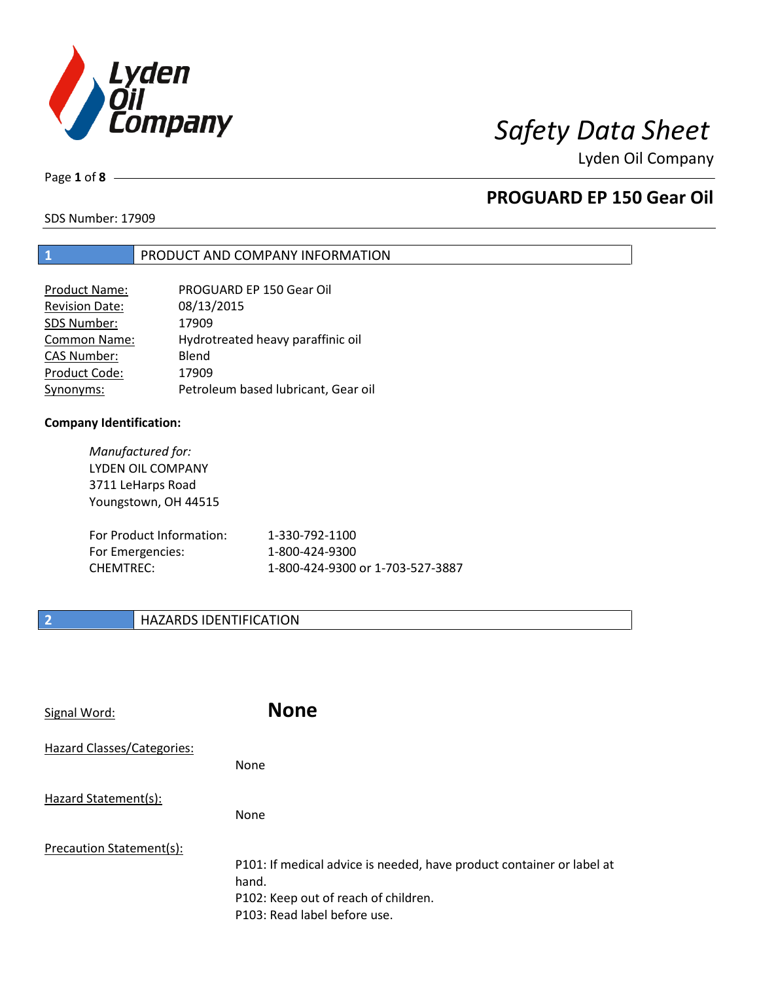

Page **1** of **8**

# **PROGUARD EP 150 Gear Oil**

SDS Number: 17909

## **1** PRODUCT AND COMPANY INFORMATION

| PROGUARD EP 150 Gear Oil            |
|-------------------------------------|
| 08/13/2015                          |
| 17909                               |
| Hydrotreated heavy paraffinic oil   |
| Blend                               |
| 17909                               |
| Petroleum based lubricant, Gear oil |
|                                     |

### **Company Identification:**

*Manufactured for:* LYDEN OIL COMPANY 3711 LeHarps Road Youngstown, OH 44515 For Product Information: 1-330-792-1100 For Emergencies: 1-800-424-9300 CHEMTREC: 1-800-424-9300 or 1-703-527-3887

## **2 HAZARDS IDENTIFICATION**

| Signal Word:               | <b>None</b>                                                                                                                                            |
|----------------------------|--------------------------------------------------------------------------------------------------------------------------------------------------------|
| Hazard Classes/Categories: | <b>None</b>                                                                                                                                            |
| Hazard Statement(s):       | <b>None</b>                                                                                                                                            |
| Precaution Statement(s):   | P101: If medical advice is needed, have product container or label at<br>hand.<br>P102: Keep out of reach of children.<br>P103: Read label before use. |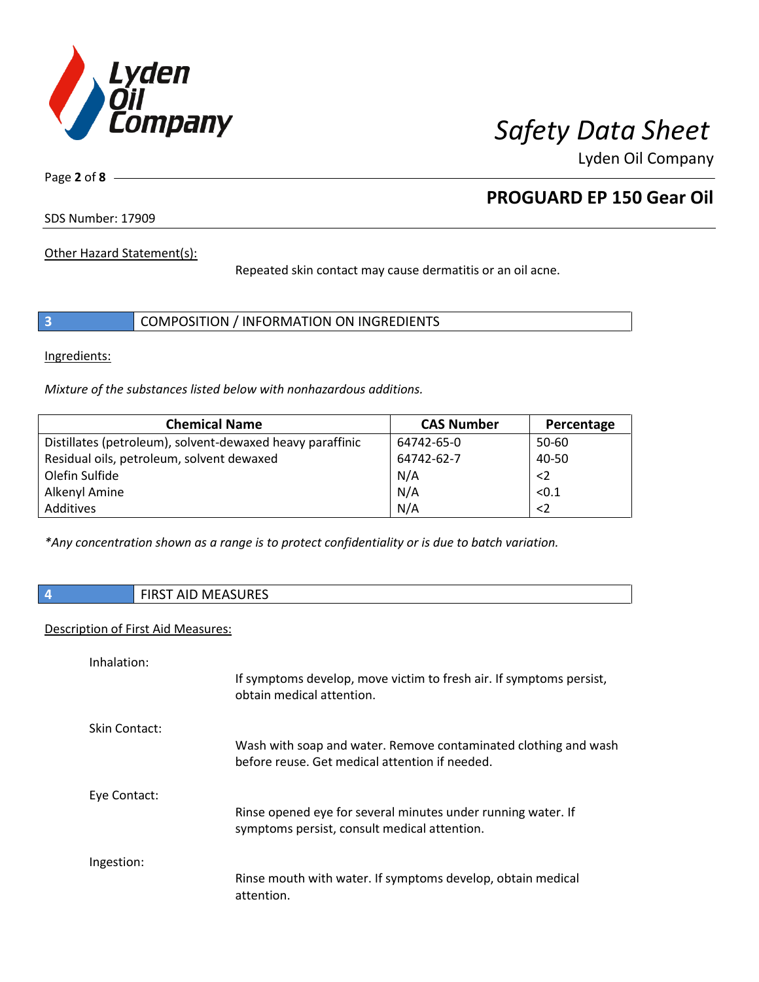

Page **2** of **8**

# **PROGUARD EP 150 Gear Oil**

SDS Number: 17909

Other Hazard Statement(s):

Repeated skin contact may cause dermatitis or an oil acne.

|  | COMPOSITION / INFORMATION ON INGREDIENTS |
|--|------------------------------------------|
|--|------------------------------------------|

Ingredients:

*Mixture of the substances listed below with nonhazardous additions.*

| <b>Chemical Name</b>                                      | <b>CAS Number</b> | Percentage  |
|-----------------------------------------------------------|-------------------|-------------|
| Distillates (petroleum), solvent-dewaxed heavy paraffinic | 64742-65-0        | 50-60       |
| Residual oils, petroleum, solvent dewaxed                 | 64742-62-7        | 40-50       |
| Olefin Sulfide                                            | N/A               | $\langle$ 2 |
| Alkenyl Amine                                             | N/A               | < 0.1       |
| Additives                                                 | N/A               | $<$ 2       |

*\*Any concentration shown as a range is to protect confidentiality or is due to batch variation.*

| $\vert$ 4 | <b>FIRST AID MEASURES</b> |
|-----------|---------------------------|
|-----------|---------------------------|

## Description of First Aid Measures:

| Inhalation:   | If symptoms develop, move victim to fresh air. If symptoms persist,<br>obtain medical attention.                  |
|---------------|-------------------------------------------------------------------------------------------------------------------|
| Skin Contact: | Wash with soap and water. Remove contaminated clothing and wash<br>before reuse. Get medical attention if needed. |
| Eye Contact:  | Rinse opened eye for several minutes under running water. If<br>symptoms persist, consult medical attention.      |
| Ingestion:    | Rinse mouth with water. If symptoms develop, obtain medical<br>attention.                                         |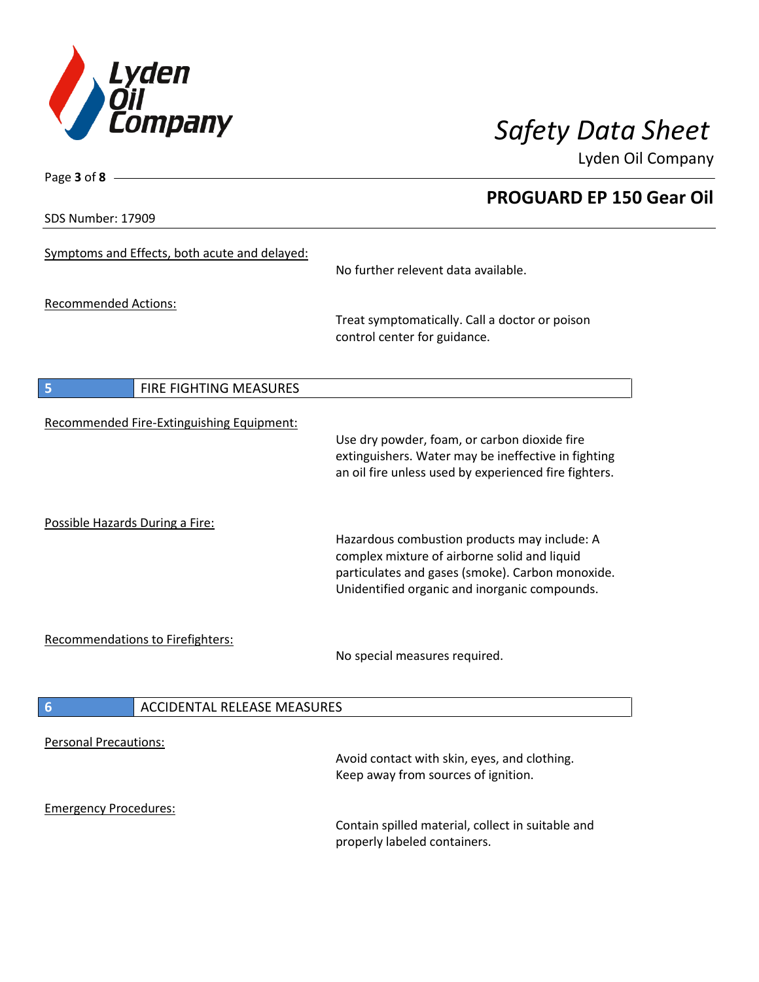

**PROGUARD EP 150 Gear Oil**

Lyden Oil Company

SDS Number: 17909

Page **3** of **8**

| Symptoms and Effects, both acute and delayed:         | No further relevent data available.                                                                                                                                                               |
|-------------------------------------------------------|---------------------------------------------------------------------------------------------------------------------------------------------------------------------------------------------------|
| <b>Recommended Actions:</b>                           | Treat symptomatically. Call a doctor or poison<br>control center for guidance.                                                                                                                    |
| 5<br><b>FIRE FIGHTING MEASURES</b>                    |                                                                                                                                                                                                   |
| Recommended Fire-Extinguishing Equipment:             | Use dry powder, foam, or carbon dioxide fire<br>extinguishers. Water may be ineffective in fighting<br>an oil fire unless used by experienced fire fighters.                                      |
| Possible Hazards During a Fire:                       | Hazardous combustion products may include: A<br>complex mixture of airborne solid and liquid<br>particulates and gases (smoke). Carbon monoxide.<br>Unidentified organic and inorganic compounds. |
| Recommendations to Firefighters:                      | No special measures required.                                                                                                                                                                     |
| $6\phantom{1}6$<br><b>ACCIDENTAL RELEASE MEASURES</b> |                                                                                                                                                                                                   |
| <b>Personal Precautions:</b>                          | Avoid contact with skin, eyes, and clothing.<br>Keep away from sources of ignition.                                                                                                               |
| <b>Emergency Procedures:</b>                          | Contain spilled material, collect in suitable and<br>properly labeled containers.                                                                                                                 |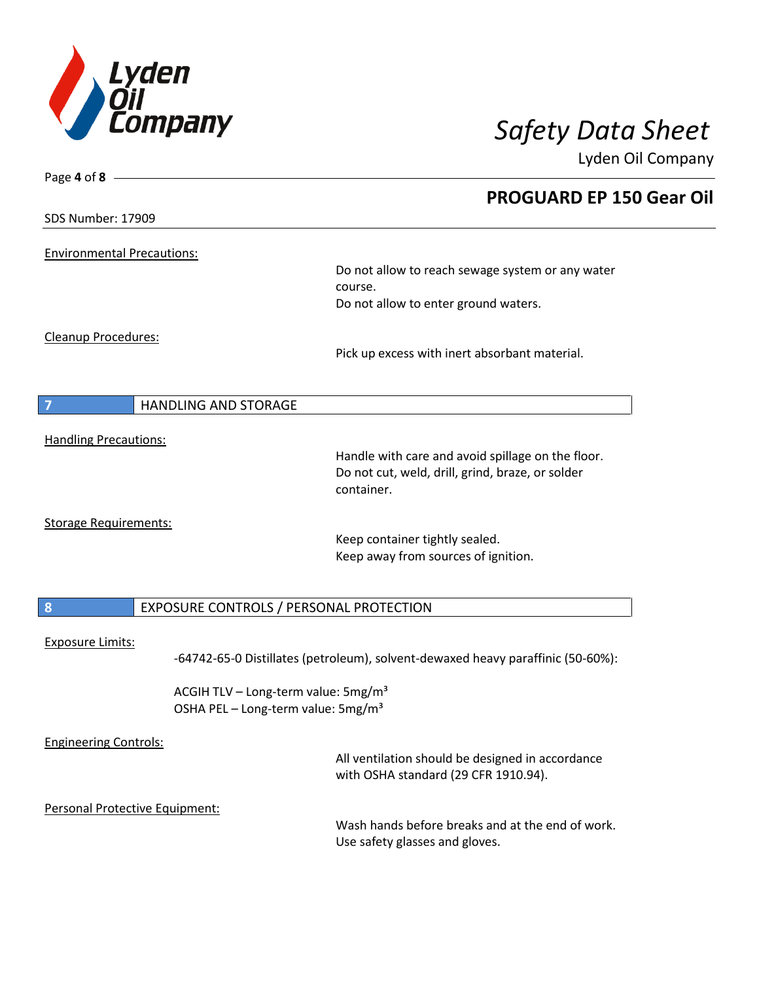

| Page 4 of 8 -                     |                                                                                 |
|-----------------------------------|---------------------------------------------------------------------------------|
|                                   | <b>PROGUARD EP 150 Gear Oil</b>                                                 |
| <b>SDS Number: 17909</b>          |                                                                                 |
| <b>Environmental Precautions:</b> |                                                                                 |
|                                   | Do not allow to reach sewage system or any water                                |
|                                   | course.                                                                         |
|                                   | Do not allow to enter ground waters.                                            |
| Cleanup Procedures:               |                                                                                 |
|                                   | Pick up excess with inert absorbant material.                                   |
|                                   |                                                                                 |
| <b>HANDLING AND STORAGE</b><br>7  |                                                                                 |
| <b>Handling Precautions:</b>      |                                                                                 |
|                                   | Handle with care and avoid spillage on the floor.                               |
|                                   | Do not cut, weld, drill, grind, braze, or solder                                |
|                                   | container.                                                                      |
| <b>Storage Requirements:</b>      |                                                                                 |
|                                   | Keep container tightly sealed.                                                  |
|                                   | Keep away from sources of ignition.                                             |
|                                   |                                                                                 |
| $\boldsymbol{8}$                  | EXPOSURE CONTROLS / PERSONAL PROTECTION                                         |
| <b>Exposure Limits:</b>           |                                                                                 |
|                                   | -64742-65-0 Distillates (petroleum), solvent-dewaxed heavy paraffinic (50-60%): |
|                                   | ACGIH TLV - Long-term value: 5mg/m <sup>3</sup>                                 |
|                                   | OSHA PEL - Long-term value: 5mg/m <sup>3</sup>                                  |
| <b>Engineering Controls:</b>      |                                                                                 |
|                                   | All ventilation should be designed in accordance                                |
|                                   | with OSHA standard (29 CFR 1910.94).                                            |
| Personal Protective Equipment:    |                                                                                 |
|                                   | Wash hands before breaks and at the end of work.                                |
|                                   | Use safety glasses and gloves.                                                  |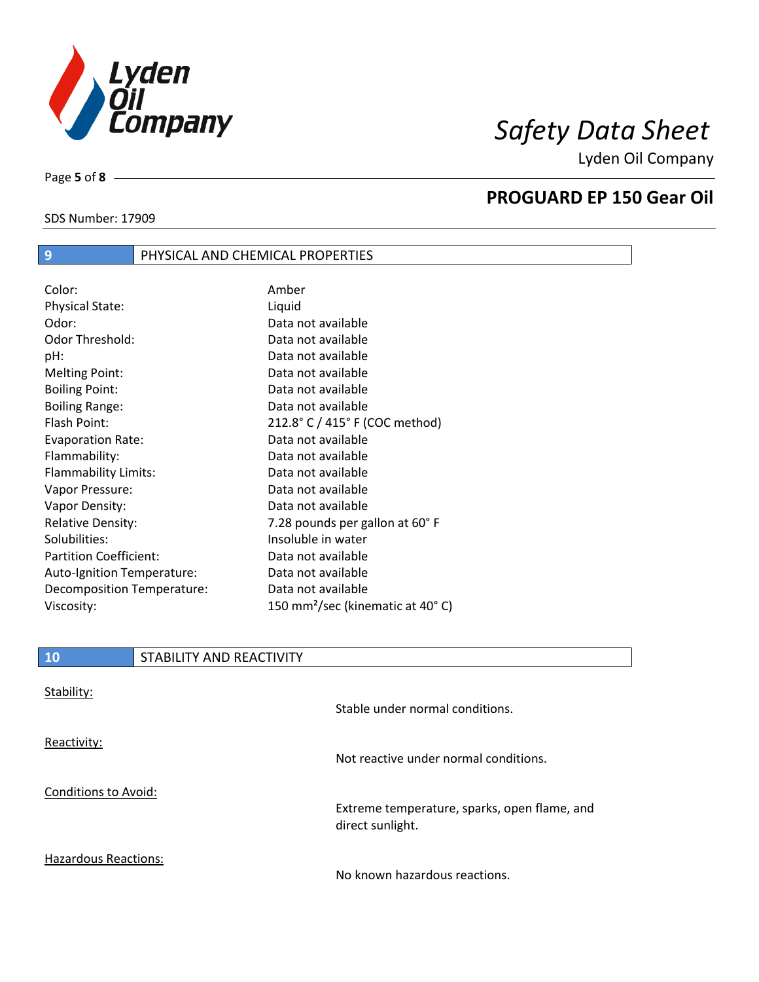

SDS Number: 17909

Page **5** of **8**

## **PROGUARD EP 150 Gear Oil**

| Color:                        | Amber                                        |
|-------------------------------|----------------------------------------------|
| <b>Physical State:</b>        | Liquid                                       |
| Odor:                         | Data not available                           |
| <b>Odor Threshold:</b>        | Data not available                           |
| pH:                           | Data not available                           |
| <b>Melting Point:</b>         | Data not available                           |
| <b>Boiling Point:</b>         | Data not available                           |
| <b>Boiling Range:</b>         | Data not available                           |
| Flash Point:                  | 212.8° C / 415° F (COC method)               |
| <b>Evaporation Rate:</b>      | Data not available                           |
| Flammability:                 | Data not available                           |
| Flammability Limits:          | Data not available                           |
| Vapor Pressure:               | Data not available                           |
| Vapor Density:                | Data not available                           |
| <b>Relative Density:</b>      | 7.28 pounds per gallon at 60°F               |
| Solubilities:                 | Insoluble in water                           |
| <b>Partition Coefficient:</b> | Data not available                           |
| Auto-Ignition Temperature:    | Data not available                           |
| Decomposition Temperature:    | Data not available                           |
| Viscosity:                    | 150 mm <sup>2</sup> /sec (kinematic at 40°C) |
|                               |                                              |

**9** PHYSICAL AND CHEMICAL PROPERTIES

| Stability:                  | Stable under normal conditions.                                  |
|-----------------------------|------------------------------------------------------------------|
| Reactivity:                 | Not reactive under normal conditions.                            |
| Conditions to Avoid:        | Extreme temperature, sparks, open flame, and<br>direct sunlight. |
| <b>Hazardous Reactions:</b> | No known hazardous reactions.                                    |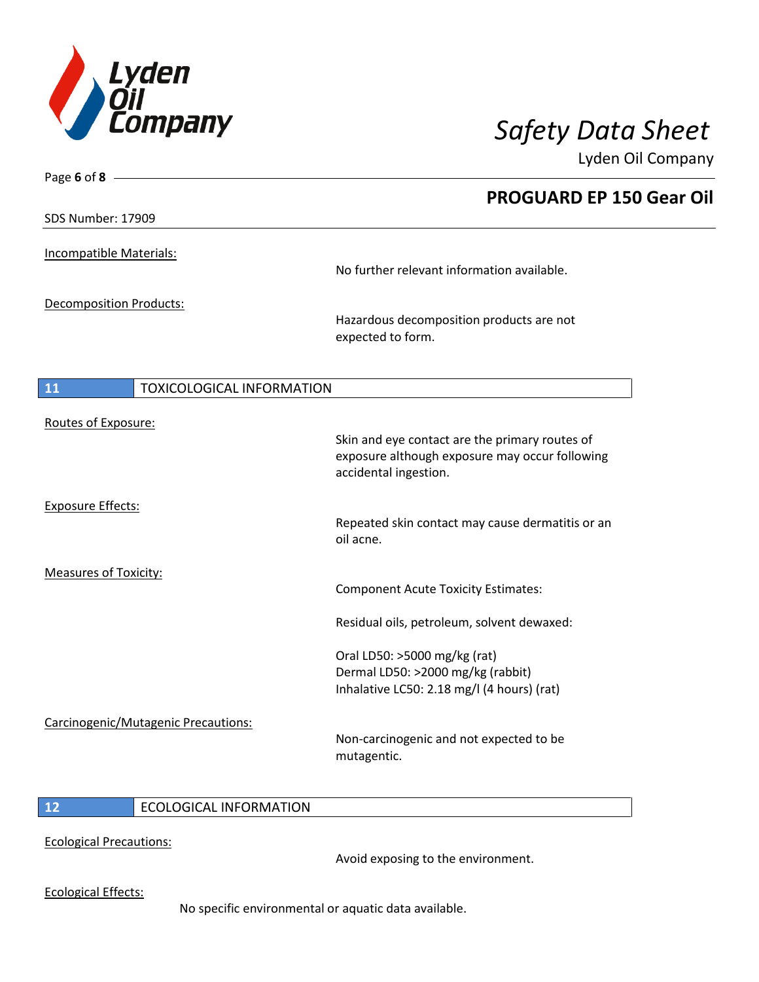

| Page 6 of 8 $-$                        |                                                                         |
|----------------------------------------|-------------------------------------------------------------------------|
|                                        | <b>PROGUARD EP 150 Gear Oil</b>                                         |
| <b>SDS Number: 17909</b>               |                                                                         |
|                                        |                                                                         |
| Incompatible Materials:                | No further relevant information available.                              |
|                                        |                                                                         |
| Decomposition Products:                |                                                                         |
|                                        | Hazardous decomposition products are not<br>expected to form.           |
|                                        |                                                                         |
|                                        |                                                                         |
| 11<br><b>TOXICOLOGICAL INFORMATION</b> |                                                                         |
| Routes of Exposure:                    |                                                                         |
|                                        | Skin and eye contact are the primary routes of                          |
|                                        | exposure although exposure may occur following<br>accidental ingestion. |
|                                        |                                                                         |
| <b>Exposure Effects:</b>               | Repeated skin contact may cause dermatitis or an                        |
|                                        | oil acne.                                                               |
|                                        |                                                                         |
| Measures of Toxicity:                  | <b>Component Acute Toxicity Estimates:</b>                              |
|                                        |                                                                         |
|                                        | Residual oils, petroleum, solvent dewaxed:                              |
|                                        | Oral LD50: >5000 mg/kg (rat)                                            |
|                                        | Dermal LD50: >2000 mg/kg (rabbit)                                       |
|                                        | Inhalative LC50: 2.18 mg/l (4 hours) (rat)                              |
| Carcinogenic/Mutagenic Precautions:    |                                                                         |
|                                        | Non-carcinogenic and not expected to be                                 |
|                                        | mutagentic.                                                             |
|                                        |                                                                         |

## **12** ECOLOGICAL INFORMATION

Ecological Precautions:

Avoid exposing to the environment.

Ecological Effects:

No specific environmental or aquatic data available.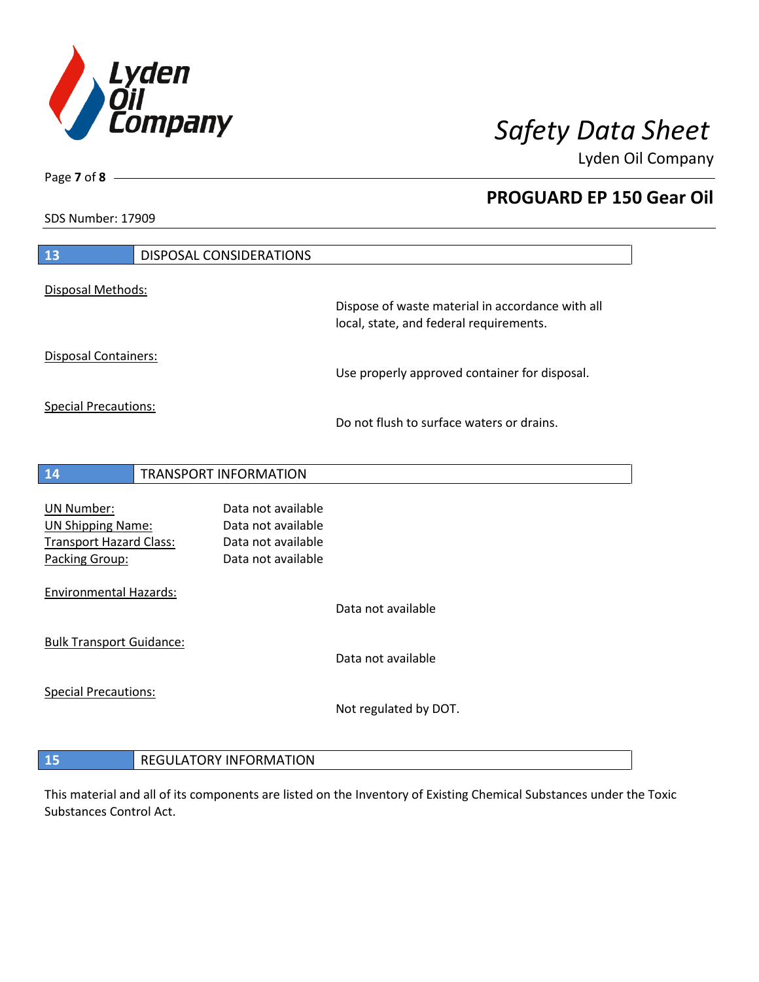

**PROGUARD EP 150 Gear Oil**

Lyden Oil Company

SDS Number: 17909

Page **7** of **8**

| 13                                                                                                | <b>DISPOSAL CONSIDERATIONS</b>                                                       |                                                                                             |
|---------------------------------------------------------------------------------------------------|--------------------------------------------------------------------------------------|---------------------------------------------------------------------------------------------|
| Disposal Methods:                                                                                 |                                                                                      |                                                                                             |
|                                                                                                   |                                                                                      | Dispose of waste material in accordance with all<br>local, state, and federal requirements. |
| <b>Disposal Containers:</b>                                                                       |                                                                                      | Use properly approved container for disposal.                                               |
| <b>Special Precautions:</b>                                                                       |                                                                                      | Do not flush to surface waters or drains.                                                   |
| 14                                                                                                | TRANSPORT INFORMATION                                                                |                                                                                             |
| <b>UN Number:</b><br><b>UN Shipping Name:</b><br><b>Transport Hazard Class:</b><br>Packing Group: | Data not available<br>Data not available<br>Data not available<br>Data not available |                                                                                             |
| <b>Environmental Hazards:</b>                                                                     |                                                                                      | Data not available                                                                          |
| <b>Bulk Transport Guidance:</b>                                                                   |                                                                                      | Data not available                                                                          |
| <b>Special Precautions:</b>                                                                       |                                                                                      | Not regulated by DOT.                                                                       |
| 15                                                                                                | <b>REGULATORY INFORMATION</b>                                                        |                                                                                             |

This material and all of its components are listed on the Inventory of Existing Chemical Substances under the Toxic Substances Control Act.